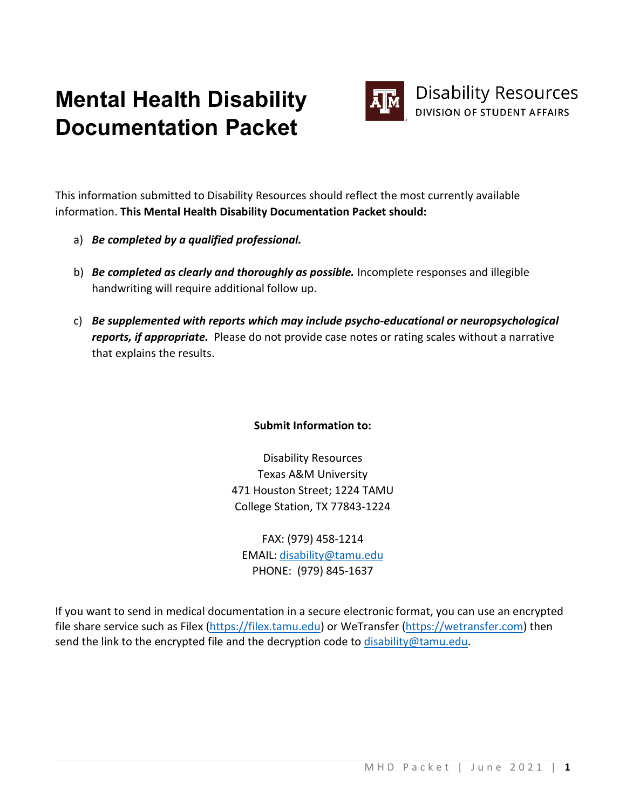# **Mental Health Disability Documentation Packet**



This information submitted to Disability Resources should reflect the most currently available information. **This Mental Health Disability Documentation Packet should:**

- a) *Be completed by a qualified professional.*
- b) *Be completed as clearly and thoroughly as possible.* Incomplete responses and illegible handwriting will require additional follow up.
- c) *Be supplemented with reports which may include psycho-educational or neuropsychological reports, if appropriate.* Please do not provide case notes or rating scales without a narrative that explains the results.

## **Submit Information to:**

Disability Resources Texas A&M University 471 Houston Street; 1224 TAMU College Station, TX 77843-1224

FAX: (979) 458-1214 EMAIL: [disability@tamu.edu](mailto:disability@tamu.edu) PHONE: (979) 845-1637

If you want to send in medical documentation in a secure electronic format, you can use an encrypted file share service such as Filex [\(https://filex.tamu.edu\)](https://filex.tamu.edu/) or WeTransfer [\(https://wetransfer.com\)](https://wetransfer.com/) then send the link to the encrypted file and the decryption code to [disability@tamu.edu.](mailto:disability@tamu.edu)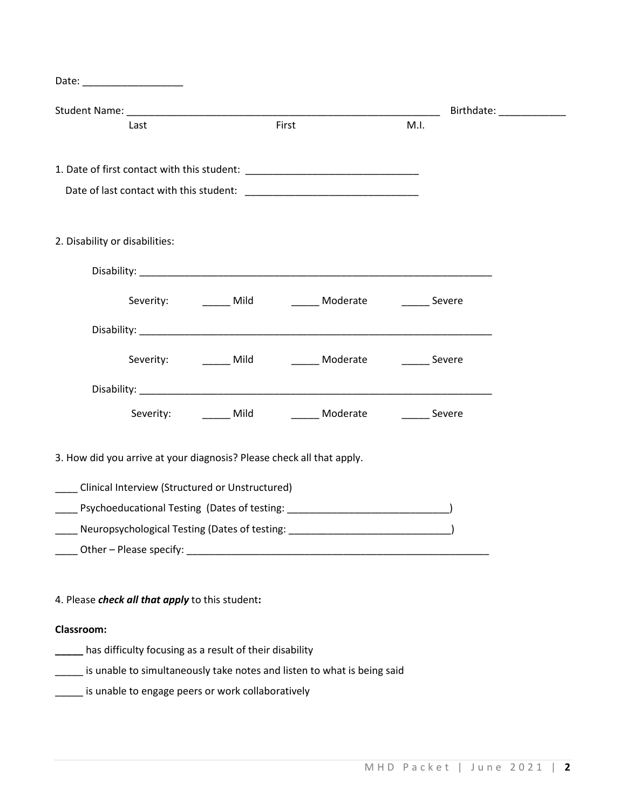| Date: ___________________                                             |                                                                                  |      |                         |
|-----------------------------------------------------------------------|----------------------------------------------------------------------------------|------|-------------------------|
|                                                                       |                                                                                  |      | Birthdate: ____________ |
| Last                                                                  | First                                                                            | M.I. |                         |
|                                                                       |                                                                                  |      |                         |
|                                                                       |                                                                                  |      |                         |
|                                                                       |                                                                                  |      |                         |
|                                                                       |                                                                                  |      |                         |
| 2. Disability or disabilities:                                        |                                                                                  |      |                         |
|                                                                       |                                                                                  |      |                         |
|                                                                       | Severity: ________ Mild _________ Moderate ________ Severe                       |      |                         |
|                                                                       |                                                                                  |      |                         |
|                                                                       | Severity: _________ Mild __________ Moderate _________ Severe                    |      |                         |
|                                                                       |                                                                                  |      |                         |
|                                                                       | Severity: ________ Mild __________ Moderate _________ Severe                     |      |                         |
| 3. How did you arrive at your diagnosis? Please check all that apply. |                                                                                  |      |                         |
| Clinical Interview (Structured or Unstructured)                       |                                                                                  |      |                         |
|                                                                       | Psychoeducational Testing (Dates of testing: ___________________________________ |      |                         |
| Neuropsychological Testing (Dates of testing:                         |                                                                                  |      |                         |
|                                                                       |                                                                                  |      |                         |
|                                                                       |                                                                                  |      |                         |
| 4. Please check all that apply to this student:                       |                                                                                  |      |                         |
| Classroom:                                                            |                                                                                  |      |                         |
| has difficulty focusing as a result of their disability               |                                                                                  |      |                         |
|                                                                       | is unable to simultaneously take notes and listen to what is being said          |      |                         |
| is unable to engage peers or work collaboratively                     |                                                                                  |      |                         |
|                                                                       |                                                                                  |      |                         |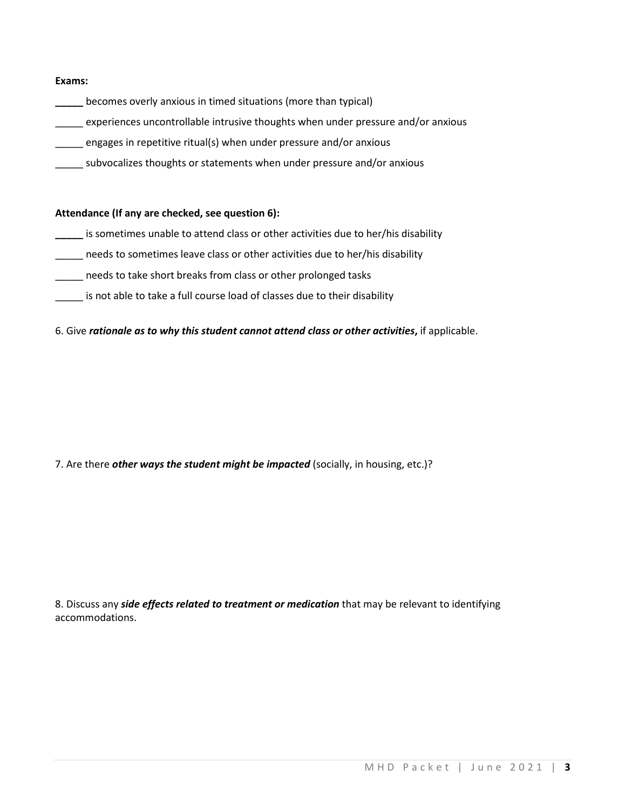#### **Exams:**

- **\_\_\_\_\_** becomes overly anxious in timed situations (more than typical)
- \_\_\_\_\_ experiences uncontrollable intrusive thoughts when under pressure and/or anxious
- \_\_\_\_\_ engages in repetitive ritual(s) when under pressure and/or anxious
- \_\_\_\_\_ subvocalizes thoughts or statements when under pressure and/or anxious

### **Attendance (If any are checked, see question 6):**

- **\_\_\_\_\_** is sometimes unable to attend class or other activities due to her/his disability
- needs to sometimes leave class or other activities due to her/his disability
- \_\_\_\_\_ needs to take short breaks from class or other prolonged tasks
- \_\_\_\_\_ is not able to take a full course load of classes due to their disability

### 6. Give *rationale as to why this student cannot attend class or other activities***,** if applicable.

7. Are there *other ways the student might be impacted* (socially, in housing, etc.)?

8. Discuss any *side effects related to treatment or medication* that may be relevant to identifying accommodations.